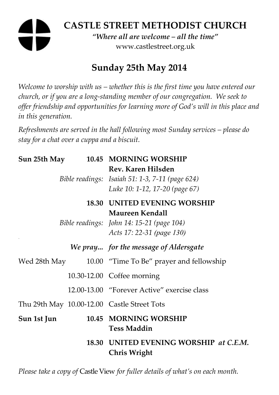# **CASTLE STREET METHODIST CHURCH**

*"Where all are welcome – all the time"*  www.castlestreet.org.uk

## **Sunday 25th May 2014**

*Welcome to worship with us – whether this is the first time you have entered our church, or if you are a long-standing member of our congregation. We seek to offer friendship and opportunities for learning more of God's will in this place and in this generation.* 

*Refreshments are served in the hall following most Sunday services – please do stay for a chat over a cuppa and a biscuit.* 

| Sun 25th May |  | 10.45 MORNING WORSHIP                                                                                                                   |
|--------------|--|-----------------------------------------------------------------------------------------------------------------------------------------|
|              |  | Rev. Karen Hilsden<br>Bible readings: Isaiah 51: 1-3, 7-11 (page 624)<br>Luke 10: 1-12, 17-20 (page 67)                                 |
|              |  | <b>18.30 UNITED EVENING WORSHIP</b><br><b>Maureen Kendall</b><br>Bible readings: John 14: 15-21 (page 104)<br>Acts 17: 22-31 (page 130) |
|              |  | We pray for the message of Aldersgate                                                                                                   |
| Wed 28th May |  | 10.00 "Time To Be" prayer and fellowship                                                                                                |
|              |  | 10.30-12.00 Coffee morning                                                                                                              |
|              |  | 12.00-13.00 "Forever Active" exercise class                                                                                             |
|              |  | Thu 29th May 10.00-12.00 Castle Street Tots                                                                                             |
| Sun 1st Jun  |  | 10.45 MORNING WORSHIP<br><b>Tess Maddin</b>                                                                                             |
|              |  | 18.30 UNITED EVENING WORSHIP at C.E.M.<br>Chris Wright                                                                                  |

*Please take a copy of* Castle View *for fuller details of what's on each month.*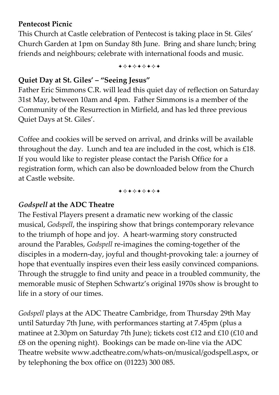#### **Pentecost Picnic**

This Church at Castle celebration of Pentecost is taking place in St. Giles' Church Garden at 1pm on Sunday 8th June. Bring and share lunch; bring friends and neighbours; celebrate with international foods and music.

+\*\*\*\*\*\*\*

#### **Quiet Day at St. Giles' – "Seeing Jesus"**

Father Eric Simmons C.R. will lead this quiet day of reflection on Saturday 31st May, between 10am and 4pm. Father Simmons is a member of the Community of the Resurrection in Mirfield, and has led three previous Quiet Days at St. Giles'.

Coffee and cookies will be served on arrival, and drinks will be available throughout the day. Lunch and tea are included in the cost, which is £18. If you would like to register please contact the Parish Office for a registration form, which can also be downloaded below from the Church at Castle website.

+\*\*\*\*\*\*\*

#### *Godspell* **at the ADC Theatre**

The Festival Players present a dramatic new working of the classic musical, *Godspell*, the inspiring show that brings contemporary relevance to the triumph of hope and joy. A heart-warming story constructed around the Parables, *Godspell* re-imagines the coming-together of the disciples in a modern-day, joyful and thought-provoking tale: a journey of hope that eventually inspires even their less easily convinced companions. Through the struggle to find unity and peace in a troubled community, the memorable music of Stephen Schwartz's original 1970s show is brought to life in a story of our times.

*Godspell* plays at the ADC Theatre Cambridge, from Thursday 29th May until Saturday 7th June, with performances starting at 7.45pm (plus a matinee at 2.30pm on Saturday 7th June); tickets cost £12 and £10 (£10 and £8 on the opening night). Bookings can be made on-line via the ADC Theatre website www.adctheatre.com/whats-on/musical/godspell.aspx, or by telephoning the box office on (01223) 300 085.